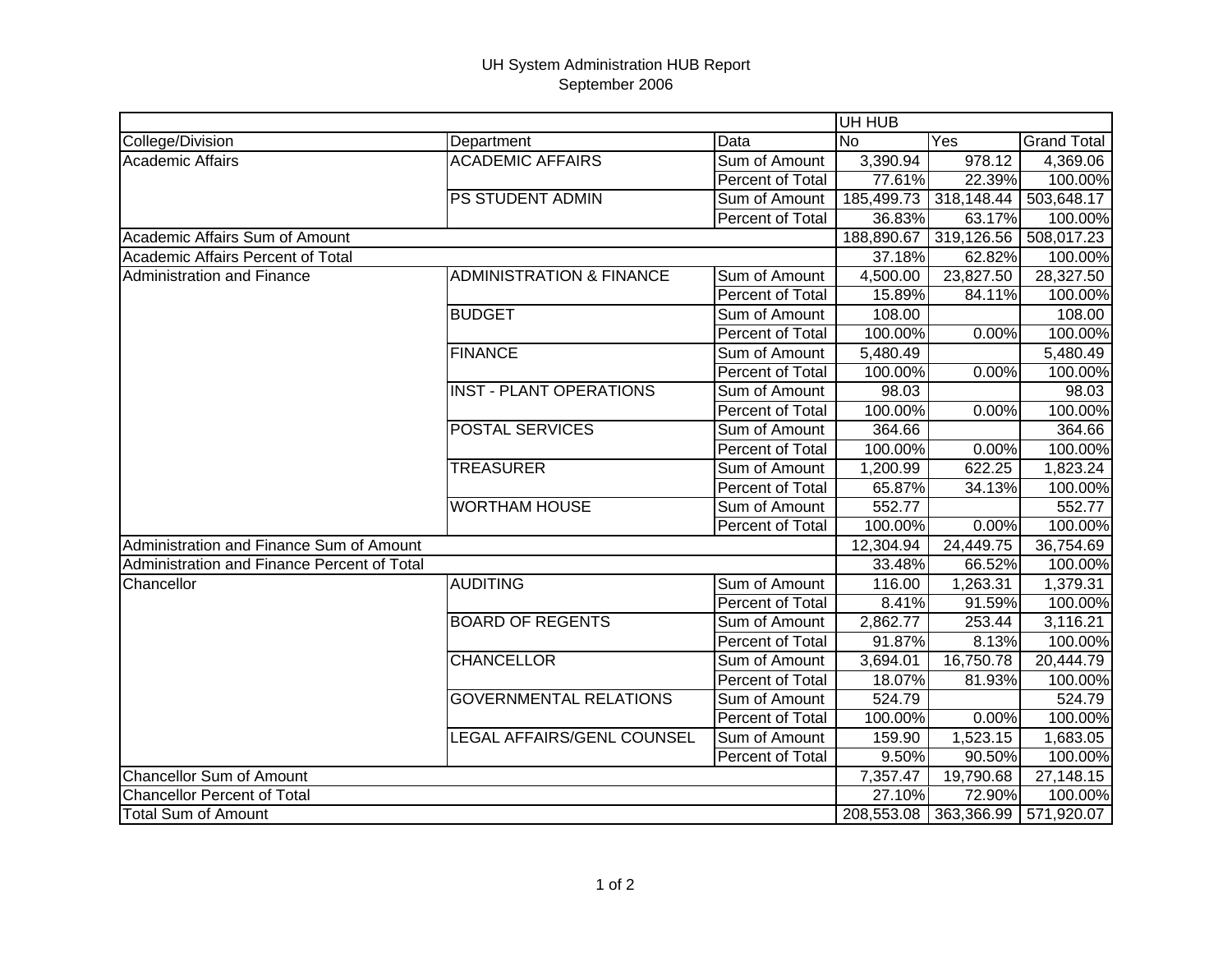## UH System Administration HUB Report September 2006

|                                             |                                     |                  | UH HUB     |            |                    |  |
|---------------------------------------------|-------------------------------------|------------------|------------|------------|--------------------|--|
| College/Division                            | Department                          | Data             | <b>No</b>  | Yes        | <b>Grand Total</b> |  |
| <b>Academic Affairs</b>                     | <b>ACADEMIC AFFAIRS</b>             | Sum of Amount    | 3,390.94   | 978.12     | 4,369.06           |  |
|                                             |                                     | Percent of Total | 77.61%     | 22.39%     | 100.00%            |  |
|                                             | <b>PS STUDENT ADMIN</b>             | Sum of Amount    | 185,499.73 | 318,148.44 | 503,648.17         |  |
|                                             |                                     | Percent of Total | 36.83%     | 63.17%     | 100.00%            |  |
| Academic Affairs Sum of Amount              |                                     |                  | 188,890.67 | 319,126.56 | 508,017.23         |  |
| Academic Affairs Percent of Total           |                                     |                  | 37.18%     | 62.82%     | 100.00%            |  |
| <b>Administration and Finance</b>           | <b>ADMINISTRATION &amp; FINANCE</b> | Sum of Amount    | 4,500.00   | 23,827.50  | 28,327.50          |  |
|                                             |                                     | Percent of Total | 15.89%     | 84.11%     | 100.00%            |  |
|                                             | <b>BUDGET</b>                       | Sum of Amount    | 108.00     |            | 108.00             |  |
|                                             |                                     | Percent of Total | 100.00%    | 0.00%      | 100.00%            |  |
|                                             | <b>FINANCE</b>                      | Sum of Amount    | 5,480.49   |            | 5,480.49           |  |
|                                             |                                     | Percent of Total | 100.00%    | 0.00%      | 100.00%            |  |
|                                             | <b>INST - PLANT OPERATIONS</b>      | Sum of Amount    | 98.03      |            | 98.03              |  |
|                                             |                                     | Percent of Total | 100.00%    | 0.00%      | 100.00%            |  |
|                                             | <b>POSTAL SERVICES</b>              | Sum of Amount    | 364.66     |            | 364.66             |  |
|                                             |                                     | Percent of Total | 100.00%    | 0.00%      | 100.00%            |  |
|                                             | <b>TREASURER</b>                    | Sum of Amount    | 1,200.99   | 622.25     | 1,823.24           |  |
|                                             |                                     | Percent of Total | 65.87%     | 34.13%     | 100.00%            |  |
|                                             | <b>WORTHAM HOUSE</b>                | Sum of Amount    | 552.77     |            | 552.77             |  |
|                                             |                                     | Percent of Total | 100.00%    | 0.00%      | 100.00%            |  |
| Administration and Finance Sum of Amount    |                                     |                  | 12,304.94  | 24,449.75  | 36,754.69          |  |
| Administration and Finance Percent of Total |                                     |                  | 33.48%     | 66.52%     | 100.00%            |  |
| Chancellor                                  | <b>AUDITING</b>                     | Sum of Amount    | 116.00     | 1,263.31   | 1,379.31           |  |
|                                             |                                     | Percent of Total | 8.41%      | 91.59%     | 100.00%            |  |
|                                             | <b>BOARD OF REGENTS</b>             | Sum of Amount    | 2,862.77   | 253.44     | 3,116.21           |  |
|                                             |                                     | Percent of Total | 91.87%     | 8.13%      | 100.00%            |  |
|                                             | <b>CHANCELLOR</b>                   | Sum of Amount    | 3,694.01   | 16,750.78  | 20,444.79          |  |
|                                             |                                     | Percent of Total | 18.07%     | 81.93%     | 100.00%            |  |
|                                             | <b>GOVERNMENTAL RELATIONS</b>       | Sum of Amount    | 524.79     |            | 524.79             |  |
|                                             |                                     | Percent of Total | 100.00%    | 0.00%      | 100.00%            |  |
|                                             | LEGAL AFFAIRS/GENL COUNSEL          | Sum of Amount    | 159.90     | 1,523.15   | 1,683.05           |  |
|                                             |                                     | Percent of Total | 9.50%      | 90.50%     | 100.00%            |  |
| <b>Chancellor Sum of Amount</b>             |                                     |                  | 7,357.47   | 19,790.68  | 27,148.15          |  |
| <b>Chancellor Percent of Total</b>          |                                     |                  | 27.10%     | 72.90%     | 100.00%            |  |
| <b>Total Sum of Amount</b>                  |                                     |                  | 208,553.08 | 363,366.99 | 571,920.07         |  |